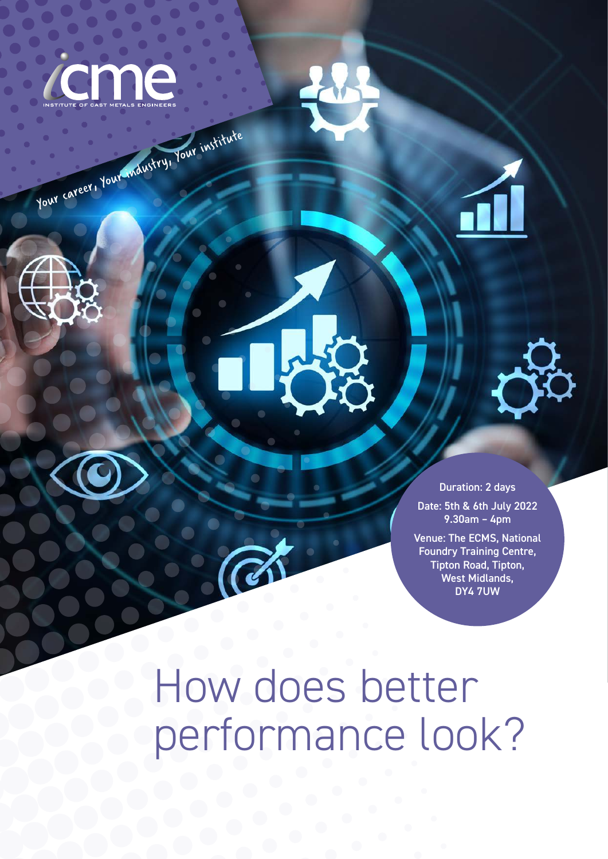

Your career, Your industry, Your institute



Duration: 2 days Date: 5th & 6th July 2022 9.30am – 4pm

Venue: The ECMS, National Foundry Training Centre, Tipton Road, Tipton, West Midlands, DY4 7UW

How does better performance look?